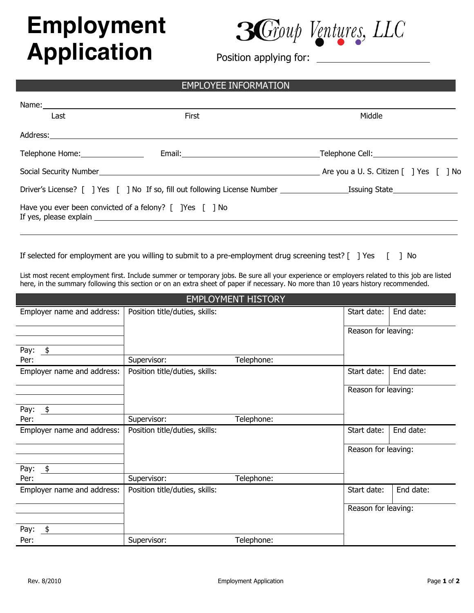## **Employment****Application**



Position applying for:

## EMPLOYEE INFORMATION

| Name: ___________________________ |                                                                                                                |                                                                    |  |  |  |
|-----------------------------------|----------------------------------------------------------------------------------------------------------------|--------------------------------------------------------------------|--|--|--|
| Last                              | First                                                                                                          | Middle                                                             |  |  |  |
|                                   |                                                                                                                |                                                                    |  |  |  |
|                                   |                                                                                                                |                                                                    |  |  |  |
|                                   | Social Security Number and the contract of the contract of the contract of the contract of the contract of the | Are you a U. S. Citizen $\lceil \ \rceil$ Yes $\lceil \ \rceil$ No |  |  |  |
|                                   |                                                                                                                |                                                                    |  |  |  |
|                                   | Have you ever been convicted of a felony? [ ]Yes [ ] No                                                        |                                                                    |  |  |  |
|                                   |                                                                                                                |                                                                    |  |  |  |

If selected for employment are you willing to submit to a pre-employment drug screening test? [ ] Yes [ ] No

List most recent employment first. Include summer or temporary jobs. Be sure all your experience or employers related to this job are listed here, in the summary following this section or on an extra sheet of paper if necessary. No more than 10 years history recommended.

| <b>EMPLOYMENT HISTORY</b>         |                                |            |                     |           |  |  |  |
|-----------------------------------|--------------------------------|------------|---------------------|-----------|--|--|--|
| Employer name and address:        | Position title/duties, skills: |            | Start date:         | End date: |  |  |  |
|                                   |                                |            | Reason for leaving: |           |  |  |  |
| Pay:<br>$\frac{1}{2}$             |                                |            |                     |           |  |  |  |
| Per:                              | Supervisor:                    | Telephone: |                     |           |  |  |  |
| Employer name and address:        | Position title/duties, skills: |            | Start date:         | End date: |  |  |  |
|                                   |                                |            | Reason for leaving: |           |  |  |  |
| Pay: $$$                          |                                |            |                     |           |  |  |  |
| Per:                              | Supervisor:                    | Telephone: |                     |           |  |  |  |
| Employer name and address:        | Position title/duties, skills: |            | Start date:         | End date: |  |  |  |
|                                   |                                |            | Reason for leaving: |           |  |  |  |
| Pay:<br>$\overline{\mathfrak{s}}$ |                                |            |                     |           |  |  |  |
| Per:                              | Supervisor:                    | Telephone: |                     |           |  |  |  |
| Employer name and address:        | Position title/duties, skills: |            | Start date:         | End date: |  |  |  |
|                                   |                                |            | Reason for leaving: |           |  |  |  |
| \$<br>Pay:                        |                                |            |                     |           |  |  |  |
| Per:                              | Supervisor:                    | Telephone: |                     |           |  |  |  |